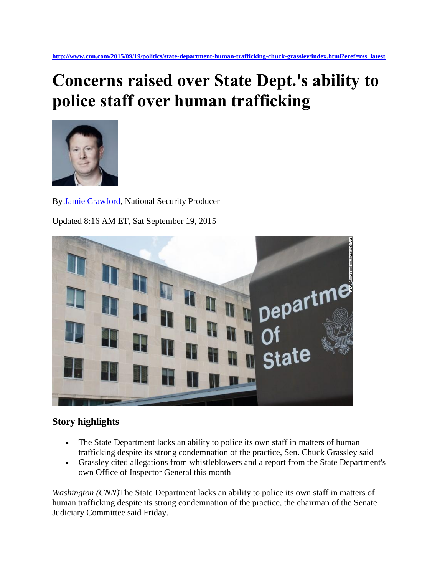## **Concerns raised over State Dept.'s ability to police staff over human trafficking**



By [Jamie Crawford,](http://www.cnn.com/profiles/jamie-crawford) National Security Producer

Updated 8:16 AM ET, Sat September 19, 2015



## **Story highlights**

- The State Department lacks an ability to police its own staff in matters of human trafficking despite its strong condemnation of the practice, Sen. Chuck Grassley said
- Grassley cited allegations from whistleblowers and a report from the State Department's own Office of Inspector General this month

*Washington (CNN)*The State Department lacks an ability to police its own staff in matters of human trafficking despite its strong condemnation of the practice, the chairman of the Senate Judiciary Committee said Friday.